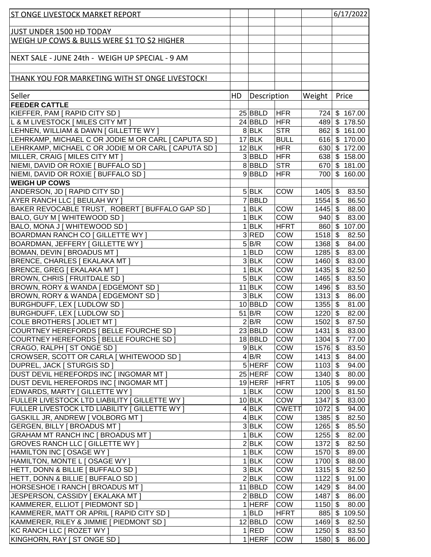| <b>ST ONGE LIVESTOCK MARKET REPORT</b>                      |    |                                  |              |                        | 6/17/2022                  |
|-------------------------------------------------------------|----|----------------------------------|--------------|------------------------|----------------------------|
|                                                             |    |                                  |              |                        |                            |
| <b>JUST UNDER 1500 HD TODAY</b>                             |    |                                  |              |                        |                            |
| WEIGH UP COWS & BULLS WERE \$1 TO \$2 HIGHER                |    |                                  |              |                        |                            |
|                                                             |    |                                  |              |                        |                            |
| NEXT SALE - JUNE 24th - WEIGH UP SPECIAL - 9 AM             |    |                                  |              |                        |                            |
|                                                             |    |                                  |              |                        |                            |
|                                                             |    |                                  |              |                        |                            |
| <u>THANK YOU FOR MARKETING WITH ST ONGE LIVESTOCK!</u>      |    |                                  |              |                        |                            |
|                                                             |    |                                  |              |                        |                            |
| Seller                                                      | HD | Description                      |              | Weight                 | Price                      |
| <b>FEEDER CATTLE</b>                                        |    |                                  |              |                        |                            |
| KIEFFER, PAM [ RAPID CITY SD ]                              |    | $25$ <b>BBLD</b>                 | HFR          |                        | 724 \$167.00               |
| L & M LIVESTOCK [ MILES CITY MT ]                           |    | $24$ BBLD                        | <b>HFR</b>   |                        | 489 \$178.50               |
| LEHNEN, WILLIAM & DAWN [ GILLETTE WY ]                      |    | 8 BLK                            | <b>STR</b>   |                        | 862 \$161.00               |
| LEHRKAMP, MICHAEL C OR JODIE M OR CARL [ CAPUTA SD ]        |    | $17$ BLK                         | <b>BULL</b>  |                        | $\overline{616}$ \$ 170.00 |
| LEHRKAMP, MICHAEL C OR JODIE M OR CARL [ CAPUTA SD ]        |    | $12$ <b>BLK</b>                  | <b>HFR</b>   |                        | 630 \$172.00               |
| MILLER, CRAIG [ MILES CITY MT ]                             |    | $3 $ BBLD                        | <b>HFR</b>   |                        | 638 \$158.00               |
| NIEMI, DAVID OR ROXIE [ BUFFALO SD ]                        |    | 8BBLD                            | <b>STR</b>   |                        | 670 \$181.00               |
| NIEMI, DAVID OR ROXIE [ BUFFALO SD ]                        |    | $9$ BBLD                         | <b>HFR</b>   |                        | 700 \$160.00               |
| <b>WEIGH UP COWS</b>                                        |    |                                  |              |                        |                            |
| ANDERSON, JD [ RAPID CITY SD ]                              |    | $5$ BLK                          | COW          | $1405$ \$              | 83.50                      |
| AYER RANCH LLC [ BEULAH WY ]                                |    | 7BBLD                            |              | $1554$ \$              | 86.50                      |
| BAKER REVOCABLE TRUST, ROBERT   BUFFALO GAP SD              |    | $1$ <b>BLK</b>                   | COW          | $1445$ \$              | 88.00                      |
| BALO, GUY M [ WHITEWOOD SD ]                                |    | $1$ <b>BLK</b>                   | COW          | $940 $ \$              | 83.00                      |
| BALO, MONA J [ WHITEWOOD SD ]                               |    | $1$ <b>BLK</b>                   | <b>HFRT</b>  |                        | 860 \$107.00               |
| BOARDMAN RANCH CO [ GILLETTE WY ]                           |    | $3$ RED                          | COW          | $1518$ \$              | 82.50                      |
| BOARDMAN, JEFFERY   GILLETTE WY ]                           |    | 5 B/R                            | COW          | $1368$ \$              | 84.00                      |
| BOMAN, DEVIN [ BROADUS MT ]                                 |    | $1$ <b>BLD</b>                   | COW          | $1285$ \$              | 83.00                      |
| BRENCE, CHARLES [ EKALAKA MT ]                              |    | $3$ <b>BLK</b>                   | COW          | $1460$ \$              | 83.00                      |
| BRENCE, GREG [ EKALAKA MT ]                                 |    | $1$ <b>BLK</b>                   | COW          | $1435$ \$              | 82.50                      |
| BROWN, CHRIS   FRUITDALE SD                                 |    | $5$ BLK                          | COW          | $1465$ \$              | 83.50                      |
| BROWN, RORY & WANDA [ EDGEMONT SD ]                         |    | $11$ BLK                         | COW          | $1496$ \$              | 83.50                      |
| BROWN, RORY & WANDA [ EDGEMONT SD ]                         |    | 3 BLK                            | COW          | $1313$ \$              | 86.00                      |
| BURGHDUFF, LEX [ LUDLOW SD ]                                |    | $10$ BBLD                        | COW          | $1355$ \$              | 81.00                      |
| BURGHDUFF, LEX [ LUDLOW SD ]                                |    | $51$ B/R                         | COW          | $1220$ \$              | 82.00                      |
| COLE BROTHERS [ JOLIET MT ]                                 |    | 2 B/R                            | COW          | $1502$ \$              | 87.50                      |
| COURTNEY HEREFORDS   BELLE FOURCHE SD                       |    | $23$ <b>BBLD</b>                 | <b>COW</b>   | $1431$ \$              | 83.00                      |
| COURTNEY HEREFORDS [ BELLE FOURCHE SD ]                     |    | 18 BBLD                          | <b>COW</b>   | $1304$ \$              | 77.00                      |
| CRAGO, RALPH [ ST ONGE SD ]                                 |    | $9$ BLK                          | COW          | $1576$ \$              | 83.50                      |
| CROWSER, SCOTT OR CARLA [ WHITEWOOD SD ]                    |    | $4$ B/R                          | COW          | $1413$ \$              | 84.00                      |
| DUPREL, JACK   STURGIS SD                                   |    | $5$ HERF                         | COW          | $1103$ \$              | 94.00                      |
| DUST DEVIL HEREFORDS INC [ INGOMAR MT ]                     |    | $25$ HERF                        | COW          | $1340$ \$              | 80.00                      |
| DUST DEVIL HEREFORDS INC [ INGOMAR MT ]                     |    | 19 HERF                          | HFRT         | $1105$ \$              | 99.00                      |
| EDWARDS, MARTY [ GILLETTE WY ]                              |    | $1$ BLK                          | <b>COW</b>   | $1200$ \$              | 81.50                      |
| FULLER LIVESTOCK LTD LIABILITY   GILLETTE WY ]              |    | $10$ BLK                         | COW          | $1347$ \$              | 83.00                      |
| FULLER LIVESTOCK LTD LIABILITY   GILLETTE WY ]              |    | 4 BLK                            | <b>CWETT</b> | $1072$ \$              | 94.00                      |
| GASKILL JR, ANDREW   VOLBORG MT                             |    | $4$ BLK                          | COW          | $1385$ \$              | 82.50                      |
| <b>GERGEN, BILLY [ BROADUS MT ]</b>                         |    | $3$ BLK                          | COW          | $1265$ \$              | 85.50                      |
| GRAHAM MT RANCH INC [ BROADUS MT ]                          |    | $1$ <b>BLK</b>                   | COW          | $1255$ \$              | 82.00                      |
|                                                             |    | 2 BLK                            | COW          |                        |                            |
| <b>GROVES RANCH LLC [ GILLETTE WY ]</b>                     |    |                                  |              | $1372$ \$              | 82.50                      |
| HAMILTON INC [ OSAGE WY ]<br>HAMILTON, MONTE L [ OSAGE WY ] |    | $1$ <b>BLK</b><br>$1$ <b>BLK</b> | COW<br>COW   | $1570$ \$<br>$1700$ \$ | 89.00<br>88.00             |
|                                                             |    |                                  |              |                        |                            |
| HETT, DONN & BILLIE   BUFFALO SD                            |    | $3$ <b>BLK</b>                   | COW          | $1315$ \$              | 82.50                      |
| HETT, DONN & BILLIE [ BUFFALO SD ]                          |    | $2$ <b>BLK</b>                   | COW          | $1122$ \$              | 91.00                      |
| HORSESHOE I RANCH [ BROADUS MT ]                            |    | $11$ <b>BBLD</b>                 | COW          | $1429$ \$              | 84.00                      |
| JESPERSON, CASSIDY [ EKALAKA MT ]                           |    | 2 BBLD                           | COW          | $1487$ \$              | 86.00                      |
| KAMMERER, ELLIOT   PIEDMONT SD                              |    | $1$ HERF                         | COW          | $1150$ \$              | 80.00                      |
| KAMMERER, MATT OR APRIL [ RAPID CITY SD ]                   |    | $1$ <b>BLD</b>                   | <b>HFRT</b>  | $885$ \$               | 109.50                     |
| KAMMERER, RILEY & JIMMIE [ PIEDMONT SD ]                    |    | 12 BBLD                          | COW          | $1469$ \$              | 82.50                      |
| KC RANCH LLC [ ROZET WY ]                                   |    | $1$ RED                          | COW          | $1250$ \$              | 83.50                      |
| KINGHORN, RAY [ ST ONGE SD ]                                |    | $1$ HERF                         | <b>COW</b>   | $1580$ \$              | 86.00                      |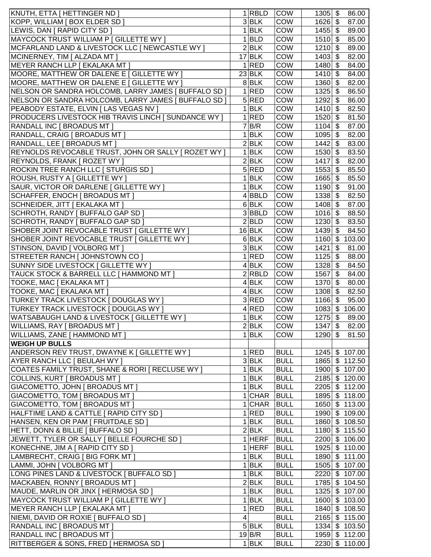| KNUTH, ETTA [ HETTINGER ND ]                                |                | $1$ RBLD           | <b>COW</b>  | $1305$ \$ | 86.00            |
|-------------------------------------------------------------|----------------|--------------------|-------------|-----------|------------------|
| KOPP, WILLIAM [ BOX ELDER SD ]                              |                | $3$ <b>BLK</b>     | COW         | $1626$ \$ | 87.00            |
| LEWIS, DAN [ RAPID CITY SD ]                                |                | $1$ <b>BLK</b>     | COW         | $1455$ \$ | 89.00            |
| MAYCOCK TRUST WILLIAM P [ GILLETTE WY ]                     |                | $1$ <b>BLD</b>     | COW         | $1510$ \$ | 85.00            |
| MCFARLAND LAND & LIVESTOCK LLC [ NEWCASTLE WY ]             |                | $2$ <b>BLK</b>     | COW         | $1210$ \$ | 89.00            |
| MCINERNEY, TIM [ ALZADA MT ]                                |                | $17$ BLK           | COW         | $1403$ \$ | 82.00            |
| MEYER RANCH LLP [ EKALAKA MT ]                              |                | $1$ RED            | COW         | $1480$ \$ | 84.00            |
| MOORE, MATTHEW OR DALENE E [ GILLETTE WY ]                  |                | $23$ BLK           | COW         | $1410$ \$ | 84.00            |
| MOORE, MATTHEW OR DALENE E [ GILLETTE WY ]                  |                | 8BLK               | COW         | $1360$ \$ | 82.00            |
|                                                             |                | 1 RED              | COW         | $1325$ \$ |                  |
| NELSON OR SANDRA HOLCOMB, LARRY JAMES   BUFFALO SD ]        |                |                    |             |           | 86.50            |
| NELSON OR SANDRA HOLCOMB, LARRY JAMES [ BUFFALO SD ]        |                | 5 RED              | COW         | $1292$ \$ | 86.00            |
| PEABODY ESTATE, ELVIN [ LAS VEGAS NV ]                      |                | $1$ <b>BLK</b>     | COW         | $1410$ \$ | 82.50            |
| <b>PRODUCERS LIVESTOCK HIB TRAVIS LINCH [ SUNDANCE WY ]</b> |                | 1 RED              | COW         | $1520$ \$ | 81.50            |
| <b>RANDALL INC [ BROADUS MT ]</b>                           |                | 7 B/R              | COW         | $1104$ \$ | 87.00            |
| RANDALL, CRAIG   BROADUS MT                                 |                | 1 BLK              | COW         | $1095$ \$ | 82.00            |
| RANDALL, LEE [ BROADUS MT ]                                 |                | 2 BLK              | COW         | $1442$ \$ | 83.00            |
| REYNOLDS REVOCABLE TRUST, JOHN OR SALLY   ROZET WY          |                | $1$ <b>BLK</b>     | COW         | $1530$ \$ | 83.50            |
| REYNOLDS, FRANK   ROZET WY                                  |                | $2$ <b>BLK</b>     | COW         | $1417$ \$ | 82.00            |
| ROCKIN TREE RANCH LLC [ STURGIS SD ]                        |                | 5 RED              | <b>COW</b>  | $1553$ \$ | 85.50            |
| ROUSH, RUSTY A [ GILLETTE WY ]                              |                | $1$ <b>BLK</b>     | <b>COW</b>  | $1665$ \$ | 85.50            |
| SAUR, VICTOR OR DARLENE [ GILLETTE WY ]                     |                | $1$ <b>BLK</b>     | COW         | $1190$ \$ | 91.00            |
| SCHAFFER, ENOCH   BROADUS MT                                |                | 4BBLD              | <b>COW</b>  | $1338$ \$ | 82.50            |
| SCHNEIDER, JITT   EKALAKA MT                                |                | $6$ BLK            | COW         | $1408$ \$ | 87.00            |
| SCHROTH, RANDY   BUFFALO GAP SD                             |                | 3BBLD              | COW         | $1016$ \$ | 88.50            |
| SCHROTH, RANDY [ BUFFALO GAP SD ]                           |                | 2 BLD              | COW         | $1230$ \$ | 83.50            |
| SHOBER JOINT REVOCABLE TRUST   GILLETTE WY                  |                | $16$ BLK           | COW         | $1439$ \$ | 84.50            |
| SHOBER JOINT REVOCABLE TRUST   GILLETTE WY                  |                | $6$ BLK            | COW         | $1160$ \$ | 103.00           |
| STINSON, DAVID   VOLBORG MT                                 |                | 3BLK               | COW         | $1421$ \$ | 81.00            |
| STREETER RANCH   JOHNSTOWN CO                               |                | $\overline{1}$ RED | COW         | $1125$ \$ | 88.00            |
| SUNNY SIDE LIVESTOCK [ GILLETTE WY ]                        |                | $4$ BLK            | <b>COW</b>  | $1328$ \$ | 84.50            |
| TAUCK STOCK & BARRELL LLC [ HAMMOND MT ]                    |                | $2$ <b>RBLD</b>    | COW         | $1567$ \$ | 84.00            |
| TOOKE, MAC [ EKALAKA MT ]                                   |                | $4$ BLK            | COW         | $1370$ \$ | 80.00            |
| TOOKE, MAC [ EKALAKA MT ]                                   |                | $4$ BLK            | COW         | $1308$ \$ | 82.50            |
| TURKEY TRACK LIVESTOCK [ DOUGLAS WY ]                       |                | 3 RED              | COW         | $1166$ \$ | 95.00            |
| TURKEY TRACK LIVESTOCK [ DOUGLAS WY ]                       |                | 4 RED              | COW         | $1083$ \$ | 106.00           |
| WATSABAUGH LAND & LIVESTOCK [ GILLETTE WY ]                 |                | $1$ <b>BLK</b>     | COW         | $1275$ \$ | 89.00            |
| WILLIAMS, RAY [ BROADUS MT ]                                |                | 2 BLK              | COW         |           | 1347 \$ 82.00    |
| WILLIAMS, ZANE [ HAMMOND MT ]                               |                | $1$ <b>BLK</b>     | <b>COW</b>  | $1290$ \$ | 81.50            |
| <b>WEIGH UP BULLS</b>                                       |                |                    |             |           |                  |
| ANDERSON REV TRUST, DWAYNE K   GILLETTE WY                  |                | 1 RED              | <b>BULL</b> |           | $1245$ \$ 107.00 |
| AYER RANCH LLC [ BEULAH WY ]                                |                | $3$ <b>BLK</b>     | <b>BULL</b> |           | 1865 \$112.50    |
| COATES FAMILY TRUST, SHANE & RORI   RECLUSE WY ]            |                | $1$ <b>BLK</b>     | <b>BULL</b> |           | 1900 \$107.00    |
| COLLINS, KURT [ BROADUS MT ]                                |                | $1$ <b>BLK</b>     | <b>BULL</b> |           | 2185 \$120.00    |
| GIACOMETTO, JOHN   BROADUS MT                               |                | $1$ <b>BLK</b>     | <b>BULL</b> |           | 2205 \$112.00    |
| GIACOMETTO, TOM [ BROADUS MT ]                              |                | $1$ CHAR           | <b>BULL</b> |           | 1895 \$118.00    |
| GIACOMETTO, TOM [ BROADUS MT ]                              |                | $1$ CHAR           | <b>BULL</b> |           | 1650 \$113.00    |
| HALFTIME LAND & CATTLE [ RAPID CITY SD ]                    |                | $1$ RED            | <b>BULL</b> |           | 1990 \$109.00    |
| HANSEN, KEN OR PAM [ FRUITDALE SD ]                         |                | $1$ <b>BLK</b>     | <b>BULL</b> |           | 1860 \$108.50    |
| HETT, DONN & BILLIE [ BUFFALO SD ]                          |                | $2$ <b>BLK</b>     | <b>BULL</b> |           | 1180 \$115.50    |
| JEWETT, TYLER OR SALLY   BELLE FOURCHE SD                   |                | $1$ HERF           | <b>BULL</b> |           | 2200 \$106.00    |
|                                                             |                | $1$ HERF           | <b>BULL</b> |           | 1925 \$110.00    |
| KONECHNE, JIM A [ RAPID CITY SD ]                           |                |                    |             |           |                  |
| LAMBRECHT, CRAIG [ BIG FORK MT ]                            |                | $1$ <b>BLK</b>     | <b>BULL</b> |           | 1890 \$111.00    |
| LAMMI, JOHN [ VOLBORG MT ]                                  |                | $1$ <b>BLK</b>     | <b>BULL</b> |           | 1505 \$107.00    |
| LONG PINES LAND & LIVESTOCK   BUFFALO SD ]                  |                | $1$ <b>BLK</b>     | <b>BULL</b> |           | 2220 \$107.00    |
| MACKABEN, RONNY [ BROADUS MT ]                              |                | 2 BLK              | <b>BULL</b> |           | 1785 \$104.50    |
| MAUDE, MARLIN OR JINX [ HERMOSA SD ]                        |                | $1$ <b>BLK</b>     | <b>BULL</b> |           | 1325 \$107.00    |
| MAYCOCK TRUST WILLIAM P [ GILLETTE WY ]                     |                | $1$ <b>BLK</b>     | <b>BULL</b> |           | 1600 \$103.00    |
| MEYER RANCH LLP [ EKALAKA MT ]                              |                | 1 RED              | <b>BULL</b> |           | 1840 \$108.50    |
| NIEMI, DAVID OR ROXIE [ BUFFALO SD ]                        | $\overline{4}$ |                    | <b>BULL</b> |           | 2165 \$115.00    |
| RANDALL INC [ BROADUS MT ]                                  |                | $5$ BLK            | <b>BULL</b> |           | 1334 \$103.50    |
| <b>RANDALL INC [ BROADUS MT ]</b>                           |                | 19 B/R             | <b>BULL</b> |           | 1959 \$112.00    |
| RITTBERGER & SONS, FRED [ HERMOSA SD                        |                | $1$ <b>BLK</b>     | <b>BULL</b> |           | 2230 \$110.00    |